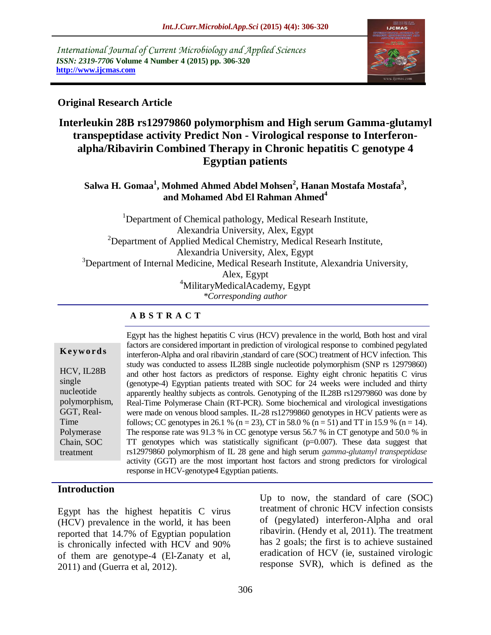*International Journal of Current Microbiology and Applied Sciences ISSN: 2319-7706* **Volume 4 Number 4 (2015) pp. 306-320 http://www.ijcmas.com** 



### **Original Research Article**

# **Interleukin 28B rs12979860 polymorphism and High serum Gamma-glutamyl transpeptidase activity Predict Non - Virological response to Interferonalpha/Ribavirin Combined Therapy in Chronic hepatitis C genotype 4 Egyptian patients**

### **Salwa H. Gomaa<sup>1</sup> , Mohmed Ahmed Abdel Mohsen<sup>2</sup> , Hanan Mostafa Mostafa<sup>3</sup> , and Mohamed Abd El Rahman Ahmed<sup>4</sup>**

<sup>1</sup>Department of Chemical pathology, Medical Researh Institute, Alexandria University, Alex, Egypt  $2$ Department of Applied Medical Chemistry, Medical Researh Institute, Alexandria University, Alex, Egypt <sup>3</sup>Department of Internal Medicine, Medical Researh Institute, Alexandria University, Alex, Egypt <sup>4</sup>MilitaryMedicalAcademy, Egypt *\*Corresponding author*

#### **A B S T R A C T**

|               | $L_{\rm B}$ ypt nas |
|---------------|---------------------|
| Keywords      | factors are         |
|               | interferon          |
|               | study was           |
| HCV, IL28B    | and other           |
| single        | (genotype           |
| nucleotide    | apparently          |
| polymorphism, | Real-Time           |
| GGT, Real-    | were mad            |
| Time          | follows; C          |
| Polymerase    | The respo           |
| Chain, SOC    | TT genot            |
| treatment     | rs1297986           |
|               |                     |

Egypt has the highest hepatitis C virus (HCV) prevalence in the world, Both host and viral e considered important in prediction of virological response to combined pegylated -Alpha and oral ribavirin ,standard of care (SOC) treatment of HCV infection. This s conducted to assess IL28B single nucleotide polymorphism (SNP rs 12979860) host factors as predictors of response. Eighty eight chronic hepatitis C virus -4) Egyptian patients treated with SOC for 24 weeks were included and thirty  $\gamma$  healthy subjects as controls. Genotyping of the IL28B rs12979860 was done by e Polymerase Chain (RT-PCR). Some biochemical and virological investigations e on venous blood samples. IL-28 rs12799860 genotypes in HCV patients were as  $\text{CC}$  genotypes in 26.1 % (n = 23), CT in 58.0 % (n = 51) and TT in 15.9 % (n = 14). onse rate was 91.3 % in CC genotype versus 56.7 % in CT genotype and 50.0 % in types which was statistically significant ( $p=0.007$ ). These data suggest that rs12979860 polymorphism of IL 28 gene and high serum *gamma-glutamyl transpeptidase* activity (GGT) are the most important host factors and strong predictors for virological response in HCV-genotype4 Egyptian patients.

### **Introduction**

Egypt has the highest hepatitis C virus (HCV) prevalence in the world, it has been reported that 14.7% of Egyptian population is chronically infected with HCV and 90% of them are genotype-4 (El-Zanaty et al, 2011) and (Guerra et al, 2012).

Up to now, the standard of care (SOC) treatment of chronic HCV infection consists of (pegylated) interferon-Alpha and oral ribavirin. (Hendy et al, 2011). The treatment has 2 goals; the first is to achieve sustained eradication of HCV (ie, sustained virologic response SVR), which is defined as the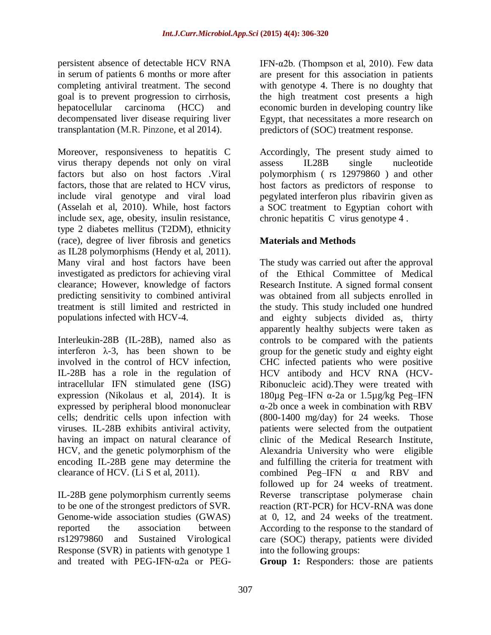persistent absence of detectable HCV RNA in serum of patients 6 months or more after completing antiviral treatment. The second goal is to prevent progression to cirrhosis, hepatocellular carcinoma (HCC) and decompensated liver disease requiring liver transplantation (M.R. Pinzone, et al 2014).

Moreover, responsiveness to hepatitis C virus therapy depends not only on viral factors but also on host factors .Viral factors, those that are related to HCV virus, include viral genotype and viral load (Asselah et al, 2010). While, host factors include sex, age, obesity, insulin resistance, type 2 diabetes mellitus (T2DM), ethnicity (race), degree of liver fibrosis and genetics as IL28 polymorphisms (Hendy et al, 2011). Many viral and host factors have been investigated as predictors for achieving viral clearance; However, knowledge of factors predicting sensitivity to combined antiviral treatment is still limited and restricted in populations infected with HCV-4.

Interleukin-28B (IL-28B), named also as interferon  $\lambda$ -3, has been shown to be involved in the control of HCV infection, IL-28B has a role in the regulation of intracellular IFN stimulated gene (ISG) expression (Nikolaus et al, 2014). It is expressed by peripheral blood mononuclear cells; dendritic cells upon infection with viruses. IL-28B exhibits antiviral activity, having an impact on natural clearance of HCV, and the genetic polymorphism of the encoding IL-28B gene may determine the clearance of HCV. (Li S et al, 2011).

IL-28B gene polymorphism currently seems to be one of the strongest predictors of SVR. Genome-wide association studies (GWAS) reported the association between rs12979860 and Sustained Virological Response (SVR) in patients with genotype 1 and treated with PEG-IFN‐α2a or PEG-

IFN- $\alpha$ 2b. (Thompson et al, 2010). Few data are present for this association in patients with genotype 4. There is no doughty that the high treatment cost presents a high economic burden in developing country like Egypt, that necessitates a more research on predictors of (SOC) treatment response.

Accordingly, The present study aimed to assess IL28B single nucleotide polymorphism ( rs 12979860 ) and other host factors as predictors of response to pegylated interferon plus ribavirin given as a SOC treatment to Egyptian cohort with chronic hepatitis C virus genotype 4 .

# **Materials and Methods**

The study was carried out after the approval of the Ethical Committee of Medical Research Institute. A signed formal consent was obtained from all subjects enrolled in the study. This study included one hundred and eighty subjects divided as, thirty apparently healthy subjects were taken as controls to be compared with the patients group for the genetic study and eighty eight CHC infected patients who were positive HCV antibody and HCV RNA (HCV-Ribonucleic acid).They were treated with 180 $\mu$ g Peg–IFN  $\alpha$ -2a or 1.5 $\mu$ g/kg Peg–IFN α-2b once a week in combination with RBV (800-1400 mg/day) for 24 weeks. Those patients were selected from the outpatient clinic of the Medical Research Institute, Alexandria University who were eligible and fulfilling the criteria for treatment with combined Peg–IFN α and RBV and followed up for 24 weeks of treatment. Reverse transcriptase polymerase chain reaction (RT-PCR) for HCV-RNA was done at 0, 12, and 24 weeks of the treatment. According to the response to the standard of care (SOC) therapy, patients were divided into the following groups:

**Group 1:** Responders: those are patients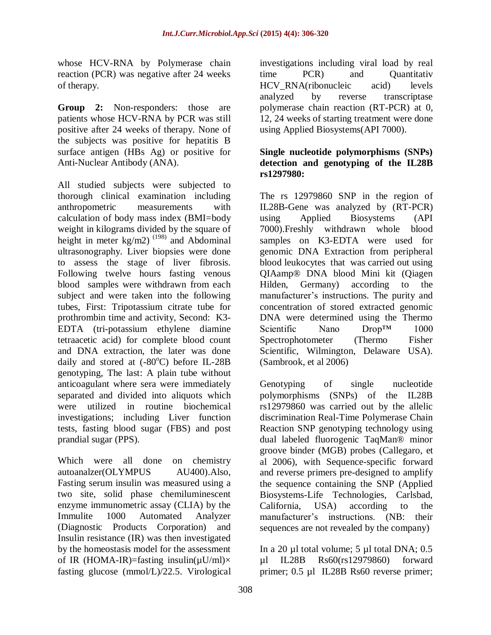whose HCV-RNA by Polymerase chain reaction (PCR) was negative after 24 weeks of therapy.

**Group 2:** Non-responders: those are patients whose HCV-RNA by PCR was still positive after 24 weeks of therapy. None of the subjects was positive for hepatitis B surface antigen (HBs Ag) or positive for Anti-Nuclear Antibody (ANA).

All studied subjects were subjected to thorough clinical examination including anthropometric measurements with calculation of body mass index (BMI=body weight in kilograms divided by the square of height in meter kg/m2)<sup>(198)</sup> and Abdominal ultrasonography. Liver biopsies were done to assess the stage of liver fibrosis. Following twelve hours fasting venous blood samples were withdrawn from each subject and were taken into the following tubes, First: Tripotassium citrate tube for prothrombin time and activity, Second: K3- EDTA (tri-potassium ethylene diamine tetraacetic acid) for complete blood count and DNA extraction, the later was done daily and stored at  $(-80^{\circ}C)$  before IL-28B genotyping, The last: A plain tube without anticoagulant where sera were immediately separated and divided into aliquots which were utilized in routine biochemical investigations; including Liver function tests, fasting blood sugar (FBS) and post prandial sugar (PPS).

Which were all done on chemistry autoanalzer(OLYMPUS AU400).Also, Fasting serum insulin was measured using a two site, solid phase chemiluminescent enzyme immunometric assay (CLIA) by the Immulite 1000 Automated Analyzer (Diagnostic Products Corporation) and Insulin resistance (IR) was then investigated by the homeostasis model for the assessment of IR (HOMA-IR)=fasting insulin( $\mu$ U/ml) $\times$ fasting glucose (mmol/L)/22.5. Virological

investigations including viral load by real time PCR) and Quantitativ HCV RNA(ribonucleic acid) levels analyzed by reverse transcriptase polymerase chain reaction (RT-PCR) at 0, 12, 24 weeks of starting treatment were done using Applied Biosystems(API 7000).

### **Single nucleotide polymorphisms (SNPs) detection and genotyping of the IL28B rs1297980:**

The rs 12979860 SNP in the region of IL28B-Gene was analyzed by (RT-PCR) using Applied Biosystems (API 7000).Freshly withdrawn whole blood samples on K3-EDTA were used for genomic DNA Extraction from peripheral blood leukocytes that was carried out using QIAamp® DNA blood Mini kit (Qiagen Hilden, Germany) according to the manufacturer's instructions. The purity and concentration of stored extracted genomic DNA were determined using the Thermo Scientific Nano Drop™ 1000 Spectrophotometer (Thermo Fisher Scientific, Wilmington, Delaware USA). (Sambrook, et al 2006)

Genotyping of single nucleotide polymorphisms (SNPs) of the IL28B rs12979860 was carried out by the allelic discrimination Real-Time Polymerase Chain Reaction SNP genotyping technology using dual labeled fluorogenic TaqMan® minor groove binder (MGB) probes (Callegaro, et al 2006), with Sequence-specific forward and reverse primers pre-designed to amplify the sequence containing the SNP (Applied Biosystems-Life Technologies, Carlsbad, California, USA) according to the manufacturer's instructions. (NB: their sequences are not revealed by the company)

In a 20 µl total volume; 5 µl total DNA; 0.5 µl IL28B Rs60(rs12979860) forward primer; 0.5 µl IL28B Rs60 reverse primer;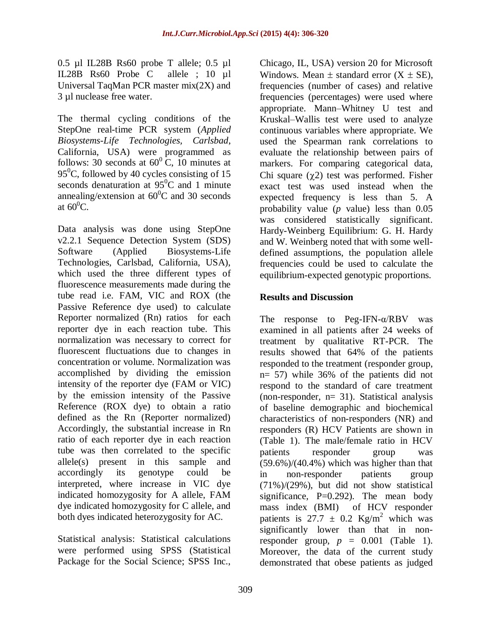0.5 µl IL28B Rs60 probe T allele; 0.5 µl IL28B Rs60 Probe C allele ; 10 µl Universal TaqMan PCR master mix(2X) and 3 µl nuclease free water.

The thermal cycling conditions of the StepOne real-time PCR system (*Applied Biosystems-Life Technologies, Carlsbad*, California, USA) were programmed as follows: 30 seconds at  $60^{\circ}$  C, 10 minutes at 95<sup>0</sup>C, followed by 40 cycles consisting of 15 seconds denaturation at  $95^{\circ}$ C and 1 minute annealing/extension at  $60^{\circ}$ C and 30 seconds at  $60^0C$ .

Data analysis was done using StepOne v2.2.1 Sequence Detection System (SDS) Software (Applied Biosystems-Life Technologies, Carlsbad, California, USA), which used the three different types of fluorescence measurements made during the tube read i.e. FAM, VIC and ROX (the Passive Reference dye used) to calculate Reporter normalized (Rn) ratios for each reporter dye in each reaction tube. This normalization was necessary to correct for fluorescent fluctuations due to changes in concentration or volume. Normalization was accomplished by dividing the emission intensity of the reporter dye (FAM or VIC) by the emission intensity of the Passive Reference (ROX dye) to obtain a ratio defined as the Rn (Reporter normalized) Accordingly, the substantial increase in Rn ratio of each reporter dye in each reaction tube was then correlated to the specific allele(s) present in this sample and accordingly its genotype could be interpreted, where increase in VIC dye indicated homozygosity for A allele, FAM dye indicated homozygosity for C allele, and both dyes indicated heterozygosity for AC.

Statistical analysis: Statistical calculations were performed using SPSS (Statistical Package for the Social Science; SPSS Inc.,

Chicago, IL, USA) version 20 for Microsoft Windows. Mean  $\pm$  standard error  $(X \pm SE)$ , frequencies (number of cases) and relative frequencies (percentages) were used where appropriate. Mann–Whitney U test and Kruskal–Wallis test were used to analyze continuous variables where appropriate. We used the Spearman rank correlations to evaluate the relationship between pairs of markers. For comparing categorical data, Chi square  $(\chi^2)$  test was performed. Fisher exact test was used instead when the expected frequency is less than 5. A probability value (*p* value) less than 0.05 was considered statistically significant. Hardy-Weinberg Equilibrium: G. H. Hardy and W. Weinberg noted that with some welldefined assumptions, the population allele frequencies could be used to calculate the equilibrium-expected genotypic proportions.

# **Results and Discussion**

The response to Peg-IFN-α/RBV was examined in all patients after 24 weeks of treatment by qualitative RT-PCR. The results showed that 64% of the patients responded to the treatment (responder group, n= 57) while 36% of the patients did not respond to the standard of care treatment (non-responder, n= 31). Statistical analysis of baseline demographic and biochemical characteristics of non-responders (NR) and responders (R) HCV Patients are shown in (Table 1). The male/female ratio in HCV patients responder group was  $(59.6\%)/(40.4\%)$  which was higher than that in non-responder patients group (71%)/(29%), but did not show statistical significance,  $P=0.292$ ). The mean body mass index (BMI) of HCV responder patients is 27.7  $\pm$  0.2 Kg/m<sup>2</sup> which was significantly lower than that in nonresponder group,  $p = 0.001$  (Table 1). Moreover, the data of the current study demonstrated that obese patients as judged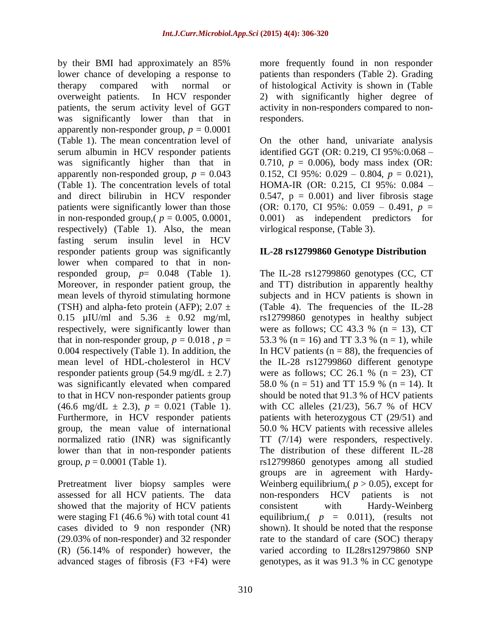by their BMI had approximately an 85% lower chance of developing a response to therapy compared with normal or overweight patients. In HCV responder patients, the serum activity level of GGT was significantly lower than that in apparently non-responder group,  $p = 0.0001$ (Table 1). The mean concentration level of serum albumin in HCV responder patients was significantly higher than that in apparently non-responded group,  $p = 0.043$ (Table 1). The concentration levels of total and direct bilirubin in HCV responder patients were significantly lower than those in non-responded group,  $(p = 0.005, 0.0001,$ respectively) (Table 1). Also, the mean fasting serum insulin level in HCV responder patients group was significantly lower when compared to that in nonresponded group,  $p= 0.048$  (Table 1). Moreover, in responder patient group, the mean levels of thyroid stimulating hormone (TSH) and alpha-feto protein (AFP);  $2.07 \pm$ 0.15  $\mu$ IU/ml and 5.36  $\pm$  0.92 mg/ml, respectively, were significantly lower than that in non-responder group,  $p = 0.018$ ,  $p =$ 0.004 respectively (Table 1). In addition, the mean level of HDL-cholesterol in HCV responder patients group (54.9 mg/dL  $\pm$  2.7) was significantly elevated when compared to that in HCV non-responder patients group  $(46.6 \text{ mg/dL} \pm 2.3), p = 0.021 \text{ (Table 1)}.$ Furthermore, in HCV responder patients group, the mean value of international normalized ratio (INR) was significantly lower than that in non-responder patients group,  $p = 0.0001$  (Table 1).

Pretreatment liver biopsy samples were assessed for all HCV patients. The data showed that the majority of HCV patients were staging F1 (46.6 %) with total count 41 cases divided to 9 non responder (NR) (29.03% of non-responder) and 32 responder (R) (56.14% of responder) however, the advanced stages of fibrosis  $(F3 + F4)$  were

more frequently found in non responder patients than responders (Table 2). Grading of histological Activity is shown in (Table 2) with significantly higher degree of activity in non-responders compared to nonresponders.

On the other hand, univariate analysis identified GGT (OR: 0.219, CI 95%:0.068 – 0.710,  $p = 0.006$ ), body mass index (OR: 0.152, CI 95%:  $0.029 - 0.804$ ,  $p = 0.021$ ), HOMA-IR (OR: 0.215, CI 95%: 0.084 – 0.547,  $p = 0.001$  and liver fibrosis stage (OR: 0.170, CI 95%: 0.059 – 0.491, *p* = 0.001) as independent predictors for virlogical response, (Table 3).

# **IL-28 rs12799860 Genotype Distribution**

The IL-28 rs12799860 genotypes (CC, CT and TT) distribution in apparently healthy subjects and in HCV patients is shown in (Table 4). The frequencies of the IL-28 rs12799860 genotypes in healthy subject were as follows; CC 43.3 % ( $n = 13$ ), CT 53.3 % (n = 16) and TT 3.3 % (n = 1), while In HCV patients ( $n = 88$ ), the frequencies of the IL-28 rs12799860 different genotype were as follows; CC 26.1 % ( $n = 23$ ), CT 58.0 % (n = 51) and TT 15.9 % (n = 14). It should be noted that 91.3 % of HCV patients with CC alleles (21/23), 56.7 % of HCV patients with heterozygous CT (29/51) and 50.0 % HCV patients with recessive alleles TT (7/14) were responders, respectively. The distribution of these different IL-28 rs12799860 genotypes among all studied groups are in agreement with Hardy-Weinberg equilibrium,  $(p > 0.05)$ , except for non-responders HCV patients is not consistent with Hardy-Weinberg equilibrium,  $(p = 0.011)$ , (results not shown). It should be noted that the response rate to the standard of care (SOC) therapy varied according to IL28rs12979860 SNP genotypes, as it was 91.3 % in CC genotype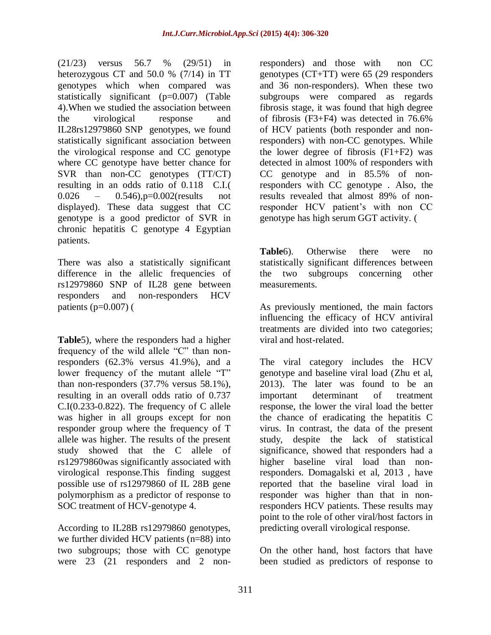(21/23) versus 56.7 % (29/51) in heterozygous CT and 50.0 % (7/14) in TT genotypes which when compared was statistically significant (p=0.007) (Table 4).When we studied the association between the virological response and IL28rs12979860 SNP genotypes, we found statistically significant association between the virological response and CC genotype where CC genotype have better chance for SVR than non-CC genotypes (TT/CT) resulting in an odds ratio of 0.118 C.I.( 0.026 – 0.546), p=0.002(results not displayed). These data suggest that CC genotype is a good predictor of SVR in chronic hepatitis C genotype 4 Egyptian patients.

There was also a statistically significant difference in the allelic frequencies of rs12979860 SNP of IL28 gene between responders and non-responders HCV patients [\(](#page-10-0) $p=0.007$ ) (

**[Table](#page-10-0)**5), where the responders had a higher frequency of the wild allele "C" than nonresponders (62.3% versus 41.9%), and a lower frequency of the mutant allele "T" than non-responders (37.7% versus 58.1%), resulting in an overall odds ratio of 0.737  $C.I(0.233-0.822)$ . The frequency of C allele was higher in all groups except for non responder group where the frequency of T allele was higher. The results of the present study showed that the C allele of rs12979860was significantly associated with virological response.This finding suggest possible use of rs12979860 of IL 28B gene polymorphism as a predictor of response to SOC treatment of HCV-genotype 4.

According to IL28B rs12979860 genotypes, we further divided HCV patients (n=88) into two subgroups; those with CC genotype were 23 (21 responders and 2 nonresponders) and those with non CC genotypes (CT+TT) were 65 (29 responders and 36 non-responders). When these two subgroups were compared as regards fibrosis stage, it was found that high degree of fibrosis (F3+F4) was detected in 76.6% of HCV patients (both responder and nonresponders) with non-CC genotypes. While the lower degree of fibrosis  $(F1+F2)$  was detected in almost 100% of responders with CC genotype and in 85.5% of nonresponders with CC genotype . Also, the results revealed that almost 89% of nonresponder HCV patient's with non CC genotype has high serum GGT activity. [\(](#page-10-0)

**[Table](#page-10-0)**6). Otherwise there were no statistically significant differences between the two subgroups concerning other measurements.

As previously mentioned, the main factors influencing the efficacy of HCV antiviral treatments are divided into two categories; viral and host-related.

The viral category includes the HCV genotype and baseline viral load (Zhu et al, 2013). The later was found to be an important determinant of treatment response, the lower the viral load the better the chance of eradicating the hepatitis C virus. In contrast, the data of the present study, despite the lack of statistical significance, showed that responders had a higher baseline viral load than nonresponders. Domagalski et al, 2013 , have reported that the baseline viral load in responder was higher than that in nonresponders HCV patients. These results may point to the role of other viral/host factors in predicting overall virological response.

On the other hand, host factors that have been studied as predictors of response to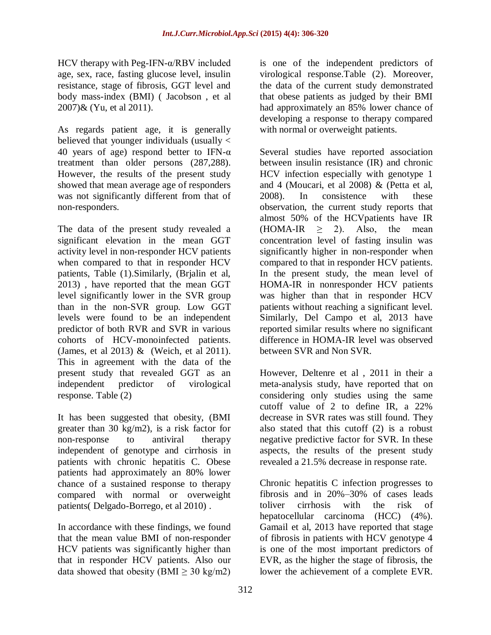HCV therapy with Peg-IFN-α/RBV included age, sex, race, fasting glucose level, insulin resistance, stage of fibrosis, GGT level and body mass-index (BMI) ( Jacobson , et al 2007)& (Yu, et al 2011).

As regards patient age, it is generally believed that younger individuals (usually < 40 years of age) respond better to IFN- $\alpha$ treatment than older persons (287,288). However, the results of the present study showed that mean average age of responders was not significantly different from that of non-responders.

The data of the present study revealed a significant elevation in the mean GGT activity level in non-responder HCV patients when compared to that in responder HCV patients, Table (1).Similarly, (Brjalin et al, 2013) , have reported that the mean GGT level significantly lower in the SVR group than in the non-SVR group. Low GGT levels were found to be an independent predictor of both RVR and SVR in various cohorts of HCV-monoinfected patients. (James, et al 2013) & (Weich, et al 2011). This in agreement with the data of the present study that revealed GGT as an independent predictor of virological response. Table (2)

It has been suggested that obesity, (BMI greater than 30 kg/m2), is a risk factor for non-response to antiviral therapy independent of genotype and cirrhosis in patients with chronic hepatitis C. Obese patients had approximately an 80% lower chance of a sustained response to therapy compared with normal or overweight patients( Delgado-Borrego, et al 2010) .

In accordance with these findings, we found that the mean value BMI of non-responder HCV patients was significantly higher than that in responder HCV patients. Also our data showed that obesity (BMI  $>$  30 kg/m2)

is one of the independent predictors of virological response.Table (2). Moreover, the data of the current study demonstrated that obese patients as judged by their BMI had approximately an 85% lower chance of developing a response to therapy compared with normal or overweight patients.

Several studies have reported association between insulin resistance (IR) and chronic HCV infection especially with genotype 1 and 4 (Moucari, et al 2008) & (Petta et al, 2008). In consistence with these observation, the current study reports that almost 50% of the HCVpatients have IR  $(HOMA-IR \geq 2)$ . Also, the mean concentration level of fasting insulin was significantly higher in non-responder when compared to that in responder HCV patients. In the present study, the mean level of HOMA-IR in nonresponder HCV patients was higher than that in responder HCV patients without reaching a significant level. Similarly, Del Campo et al, 2013 have reported similar results where no significant difference in HOMA-IR level was observed between SVR and Non SVR.

However, Deltenre et al , 2011 in their a meta-analysis study, have reported that on considering only studies using the same cutoff value of 2 to define IR, a 22% decrease in SVR rates was still found. They also stated that this cutoff (2) is a robust negative predictive factor for SVR. In these aspects, the results of the present study revealed a 21.5% decrease in response rate.

Chronic hepatitis C infection progresses to fibrosis and in 20%–30% of cases leads toliver cirrhosis with the risk of hepatocellular carcinoma (HCC) (4%). Gamail et al, 2013 have reported that stage of fibrosis in patients with HCV genotype 4 is one of the most important predictors of EVR, as the higher the stage of fibrosis, the lower the achievement of a complete EVR.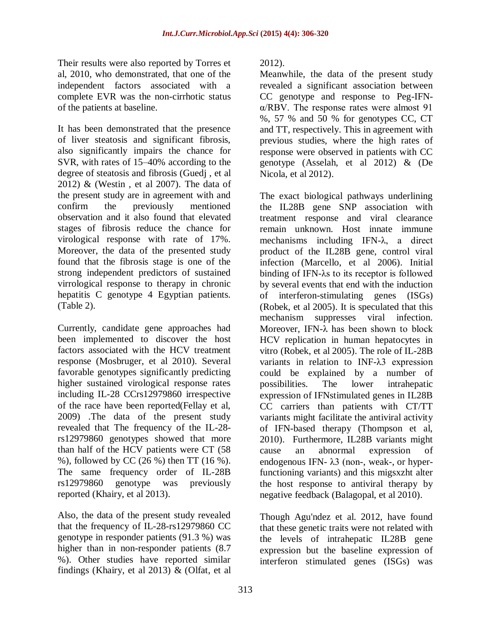Their results were also reported by Torres et al, 2010, who demonstrated, that one of the independent factors associated with a complete EVR was the non-cirrhotic status of the patients at baseline.

It has been demonstrated that the presence of liver steatosis and significant fibrosis, also significantly impairs the chance for SVR, with rates of 15–40% according to the degree of steatosis and fibrosis (Guedj , et al 2012) & (Westin , et al 2007). The data of the present study are in agreement with and confirm the previously mentioned observation and it also found that elevated stages of fibrosis reduce the chance for virological response with rate of 17%. Moreover, the data of the presented study found that the fibrosis stage is one of the strong independent predictors of sustained virrological response to therapy in chronic hepatitis C genotype 4 Egyptian patients. (Table 2).

Currently, candidate gene approaches had been implemented to discover the host factors associated with the HCV treatment response (Mosbruger, et al 2010). Several favorable genotypes significantly predicting higher sustained virological response rates including IL-28 CCrs12979860 irrespective of the race have been reported(Fellay et al, 2009) .The data of the present study revealed that The frequency of the IL-28 rs12979860 genotypes showed that more than half of the HCV patients were CT (58 %), followed by CC (26 %) then TT (16 %). The same frequency order of IL-28B rs12979860 genotype was previously reported (Khairy, et al 2013).

Also, the data of the present study revealed that the frequency of IL-28-rs12979860 CC genotype in responder patients (91.3 %) was higher than in non-responder patients (8.7 %). Other studies have reported similar findings (Khairy, et al 2013) & (Olfat, et al 2012).

Meanwhile, the data of the present study revealed a significant association between CC genotype and response to Peg-IFNα/RBV. The response rates were almost 91 %, 57 % and 50 % for genotypes CC, CT and TT, respectively. This in agreement with previous studies, where the high rates of response were observed in patients with CC genotype (Asselah, et al 2012) & (De Nicola, et al 2012).

The exact biological pathways underlining the IL28B gene SNP association with treatment response and viral clearance remain unknown. Host innate immune mechanisms including IFN-λ, a direct product of the IL28B gene, control viral infection (Marcello, et al 2006). Initial binding of IFN-λs to its receptor is followed by several events that end with the induction of interferon-stimulating genes (ISGs) (Robek, et al 2005). It is speculated that this mechanism suppresses viral infection. Moreover, IFN-λ has been shown to block HCV replication in human hepatocytes in vitro (Robek, et al 2005). The role of IL-28B variants in relation to INF-λ3 expression could be explained by a number of possibilities. The lower intrahepatic expression of IFNstimulated genes in IL28B CC carriers than patients with CT/TT variants might facilitate the antiviral activity of IFN-based therapy (Thompson et al, 2010). Furthermore, IL28B variants might cause an abnormal expression of endogenous IFN- λ3 (non-, weak-, or hyperfunctioning variants) and this migsxzht alter the host response to antiviral therapy by negative feedback (Balagopal, et al 2010).

Though Agu'ndez et al. 2012, have found that these genetic traits were not related with the levels of intrahepatic IL28B gene expression but the baseline expression of interferon stimulated genes (ISGs) was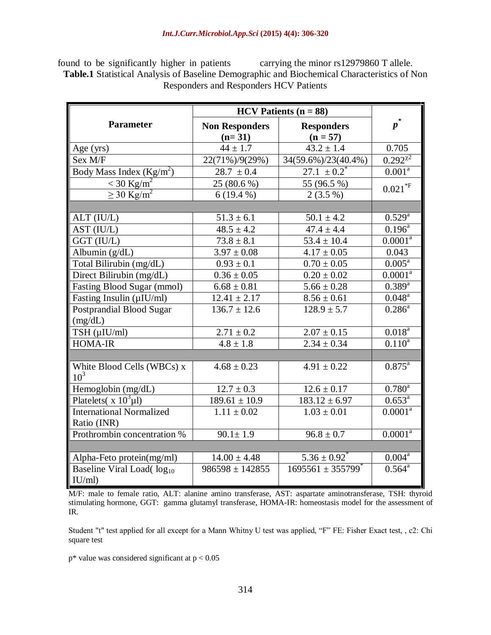found to be significantly higher in patients carrying the minor rs12979860 T allele. **Table.1** Statistical Analysis of Baseline Demographic and Biochemical Characteristics of Non Responders and Responders HCV Patients

|                                                | $HCV$ Patients ( $n = 88$ )       |                                        |                        |  |
|------------------------------------------------|-----------------------------------|----------------------------------------|------------------------|--|
| <b>Parameter</b>                               | <b>Non Responders</b><br>$(n=31)$ | <b>Responders</b><br>$(n = 57)$        | $p^*$                  |  |
| Age (yrs)                                      | $44 \pm 1.7$                      | $43.2 \pm 1.4$                         | 0.705                  |  |
| Sex M/F                                        | 22(71%)/9(29%)                    | 34(59.6%)/23(40.4%)                    | $0.292^{\chi^2}$       |  |
| Body Mass Index $(Kg/m^2)$                     | $28.7 \pm 0.4$                    | $\overline{27.1} \pm 0.2$ <sup>*</sup> | 0.001 <sup>a</sup>     |  |
| $<$ 30 Kg/m <sup>2</sup>                       | 25 (80.6 %)                       | 55 (96.5 %)                            | $0.021*F$              |  |
| $\geq$ 30 Kg/m <sup>2</sup>                    | $6(19.4\%)$                       | $2(3.5\%)$                             |                        |  |
|                                                |                                   |                                        |                        |  |
| ALT (IU/L)                                     | $51.3 \pm 6.1$                    | $50.1 \pm 4.2$                         | $0.529^{a}$            |  |
| AST (IU/L)                                     | $48.5 \pm 4.2$                    | $47.4 \pm 4.4$                         | $0.196^{\text{a}}$     |  |
| GGT (IU/L)                                     | $73.8 \pm 8.1$                    | $53.4 \pm 10.4$                        | $0.0001^a$             |  |
| Albumin $(g/dL)$                               | $3.97 \pm 0.08$                   | $4.17 \pm 0.05$                        | 0.043                  |  |
| Total Bilirubin (mg/dL)                        | $0.93 \pm 0.1$                    | $0.70 \pm 0.05$                        | $0.005^{\overline{a}}$ |  |
| Direct Bilirubin (mg/dL)                       | $0.36 \pm 0.05$                   | $0.20 \pm 0.02$                        | $0.0001^a$             |  |
| Fasting Blood Sugar (mmol)                     | $6.68 \pm 0.81$                   | $5.66 \pm 0.28$                        | $0.389^{a}$            |  |
| Fasting Insulin (µIU/ml)                       | $12.41 \pm 2.17$                  | $8.56 \pm 0.61$                        | $0.048^a$              |  |
| Postprandial Blood Sugar                       | $136.7 \pm 12.6$                  | $128.9 \pm 5.7$                        | $0.286^{a}$            |  |
| (mg/dL)                                        |                                   |                                        |                        |  |
| TSH (µIU/ml)                                   | $2.71 \pm 0.2$                    | $2.07 \pm 0.15$                        | $0.018^{a}$            |  |
| <b>HOMA-IR</b>                                 | $4.8 \pm 1.8$                     | $2.34 \pm 0.34$                        | $0.110^{a}$            |  |
|                                                |                                   |                                        |                        |  |
| White Blood Cells (WBCs) x<br>10 <sup>3</sup>  | $4.68 \pm 0.23$                   | $4.91 \pm 0.22$                        | $0.875^{\text{a}}$     |  |
| Hemoglobin (mg/dL)                             | $12.7 \pm 0.3$                    | $12.6 \pm 0.17$                        | $0.780^{a}$            |  |
| Platelets( $x 10^3 \mu l$ )                    | $189.61 \pm 10.9$                 | $183.12 \pm 6.97$                      | $0.653^{\text{a}}$     |  |
| <b>International Normalized</b><br>Ratio (INR) | $1.11 \pm 0.02$                   | $1.03 \pm 0.01$                        | $0.0001^a$             |  |
| Prothrombin concentration %                    | $90.1 \pm 1.9$                    | $96.8 \pm 0.7$                         | $0.0001^a$             |  |
|                                                |                                   |                                        |                        |  |
| Alpha-Feto protein(mg/ml)                      | $14.00 \pm 4.48$                  | $5.36 \pm 0.92$ <sup>*</sup>           | $0.004^a$              |  |
| Baseline Viral Load(log <sub>10</sub>          | $986598 \pm 142855$               | $1695561 \pm 355799$ <sup>*</sup>      | $0.564^{\text{a}}$     |  |
| IU/ml)                                         |                                   |                                        |                        |  |

M/F: male to female ratio, ALT: alanine amino transferase, AST: aspartate aminotransferase, TSH: thyroid stimulating hormone, GGT: gamma glutamyl transferase, HOMA-IR: homeostasis model for the assessment of IR.

Student "t" test applied for all except for a Mann Whitny U test was applied, "F" FE: Fisher Exact test, , c2: Chi square test

 $p^*$  value was considered significant at  $p < 0.05$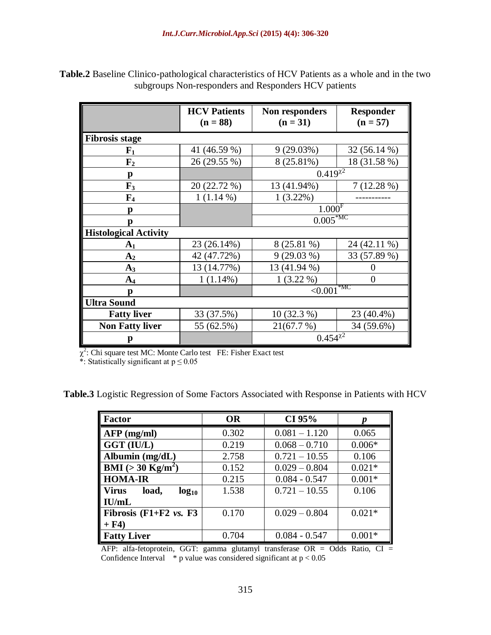|                              | <b>HCV</b> Patients<br>$(n = 88)$ | Non responders<br>$(n = 31)$ | <b>Responder</b><br>$(n = 57)$ |  |  |  |
|------------------------------|-----------------------------------|------------------------------|--------------------------------|--|--|--|
| <b>Fibrosis stage</b>        |                                   |                              |                                |  |  |  |
| ${\bf F_1}$                  | 41 (46.59 %)                      | 9(29.03%)                    | 32 (56.14 %)                   |  |  |  |
| $\mathbf{F}_2$               | 26 (29.55 %)                      | 8 (25.81%)                   | 18 (31.58 %)                   |  |  |  |
| p                            |                                   | $0.419^{x2}$                 |                                |  |  |  |
| $\mathbf{F}_3$               | 20 (22.72 %)                      | 13 (41.94%)                  | 7(12.28%)                      |  |  |  |
| $\mathbf{F}_4$               | $1(1.14\%)$                       | $1(3.22\%)$                  |                                |  |  |  |
|                              |                                   | $1.000$ <sup>F</sup>         |                                |  |  |  |
|                              |                                   | $0.005*MC$                   |                                |  |  |  |
| <b>Histological Activity</b> |                                   |                              |                                |  |  |  |
| A <sub>1</sub>               | 23 (26.14%)                       | 8 (25.81 %)                  | 24 (42.11 %)                   |  |  |  |
| A <sub>2</sub>               | 42 (47.72%)                       | $9(29.03\%)$                 | 33 (57.89 %)                   |  |  |  |
| $A_3$                        | 13 (14.77%)                       | 13 (41.94 %)                 |                                |  |  |  |
| $A_4$                        | $1(1.14\%)$                       | $1(3.22\%)$                  | $\Omega$                       |  |  |  |
| p                            |                                   | $\sim 0.001$ <sup>*MC</sup>  |                                |  |  |  |
| <b>Ultra Sound</b>           |                                   |                              |                                |  |  |  |
| <b>Fatty liver</b>           | 33 (37.5%)                        | $10(32.3\%)$                 | 23 (40.4%)                     |  |  |  |
| <b>Non Fatty liver</b>       | 55 (62.5%)                        | 21(67.7%)                    | 34 (59.6%)                     |  |  |  |
|                              |                                   | $0.454^{\chi^2}$             |                                |  |  |  |

**Table.2** Baseline Clinico-pathological characteristics of HCV Patients as a whole and in the two subgroups Non-responders and Responders HCV patients

 $\chi^2$ : Chi square test MC: Monte Carlo test FE: Fisher Exact test

\*: Statistically significant at  $p \le 0.05$ 

**Table.3** Logistic Regression of Some Factors Associated with Response in Patients with HCV

| <b>Factor</b>                                      | <b>OR</b> | CI 95%          | p        |
|----------------------------------------------------|-----------|-----------------|----------|
| $\overline{\mathbf{AFP}(\mathbf{mg}/\mathbf{ml})}$ | 0.302     | $0.081 - 1.120$ | 0.065    |
| $\ $ GGT (IU/L)                                    | 0.219     | $0.068 - 0.710$ | $0.006*$ |
| Albumin (mg/dL)                                    | 2.758     | $0.721 - 10.55$ | 0.106    |
| $\parallel$ BMI (> 30 Kg/m <sup>2</sup> )          | 0.152     | $0.029 - 0.804$ | $0.021*$ |
| <b>HOMA-IR</b>                                     | 0.215     | $0.084 - 0.547$ | $0.001*$ |
| Virus<br>load,<br>$log_{10}$                       | 1.538     | $0.721 - 10.55$ | 0.106    |
| IU/mL                                              |           |                 |          |
| Fibrosis $(F1+F2 \nu s. F3$                        | 0.170     | $0.029 - 0.804$ | $0.021*$ |
| $+ F4$                                             |           |                 |          |
| <b>Fatty Liver</b>                                 | 0.704     | $0.084 - 0.547$ | $0.001*$ |

AFP: alfa-fetoprotein, GGT: gamma glutamyl transferase OR = Odds Ratio, CI = Confidence Interval  $*$  p value was considered significant at  $p < 0.05$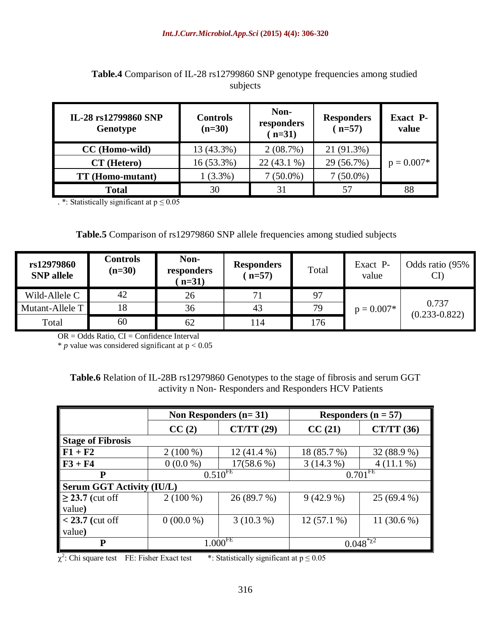| IL-28 rs12799860 SNP<br>Genotype | <b>Controls</b><br>$(n=30)$ | Non-<br>responders<br>$(n=31)$ | <b>Responders</b><br>$(n=57)$ | <b>Exact P-</b><br>value |
|----------------------------------|-----------------------------|--------------------------------|-------------------------------|--------------------------|
| CC (Homo-wild)                   | 13 (43.3%)                  | 2(08.7%)                       | 21 (91.3%)                    |                          |
| CT (Hetero)                      | 16 (53.3%)                  | $22(43.1\%)$                   | 29 (56.7%)                    | $p = 0.007*$             |
| <b>TT</b> (Homo-mutant)          | $1(3.3\%)$                  | $7(50.0\%)$                    | 7 (50.0%)                     |                          |
| <b>Total</b>                     | 30                          | 31                             |                               | 88                       |

### **Table.4** Comparison of IL-28 rs12799860 SNP genotype frequencies among studied subjects

. \*: Statistically significant at  $p \le 0.05$ 

#### <span id="page-10-0"></span>**Table.5** Comparison of rs12979860 SNP allele frequencies among studied subjects

| rs12979860<br><b>SNP</b> allele | Controls<br>$(n=30)$ | Non-<br>responders<br>$n=31$ | <b>Responders</b><br>$n=57$ | Total | Exact P-<br>value | Odds ratio (95%<br>CI      |
|---------------------------------|----------------------|------------------------------|-----------------------------|-------|-------------------|----------------------------|
| Wild-Allele C                   | 42                   | 26                           |                             | 97    | $p = 0.007*$      | 0.737<br>$(0.233 - 0.822)$ |
| Mutant-Allele T                 | 18                   | 36                           | 43                          | 79    |                   |                            |
| Total                           | 60                   | 62                           | 14                          | 176   |                   |                            |

 $OR = Odds$  Ratio,  $CI = Confidence Interval$ 

 $*$  *p* value was considered significant at  $p < 0.05$ 

### **Table.6** Relation of IL-28B rs12979860 Genotypes to the stage of fibrosis and serum GGT activity n Non- Responders and Responders HCV Patients

|                          | Non Responders $(n=31)$          |                   |                       | Responders $(n = 57)$ |  |  |
|--------------------------|----------------------------------|-------------------|-----------------------|-----------------------|--|--|
|                          | CC(2)                            | <b>CT/TT</b> (29) | CC(21)                | <b>CT/TT</b> (36)     |  |  |
| <b>Stage of Fibrosis</b> |                                  |                   |                       |                       |  |  |
| $F1 + F2$                | $2(100\%)$                       | $12(41.4\%)$      | 18 (85.7 %)           | 32 (88.9 %)           |  |  |
| $F3 + F4$                | $0(0.0\%)$                       | $17(58.6\%)$      | $3(14.3\%)$           | $4(11.1\%)$           |  |  |
| P                        |                                  | $0.510^{FE}$      | $0.701$ <sup>FE</sup> |                       |  |  |
|                          | <b>Serum GGT Activity (IU/L)</b> |                   |                       |                       |  |  |
| $\geq$ 23.7 (cut off     | $2(100\%)$                       | 26 (89.7 %)       | $9(42.9\%)$           | $25(69.4\%)$          |  |  |
| value)                   |                                  |                   |                       |                       |  |  |
| $<$ 23.7 (cut off        | $0(00.0\%)$                      | 3(10.3%)          | $12(57.1\%)$          | 11 $(30.6\%)$         |  |  |
| value)                   |                                  |                   |                       |                       |  |  |
| P                        | $1.000^{FE}$                     |                   | $0.048^{*22}$         |                       |  |  |

 $\chi^2$ : Chi square test FE: Fisher Exact test \*: Statistically significant at  $p \le 0.05$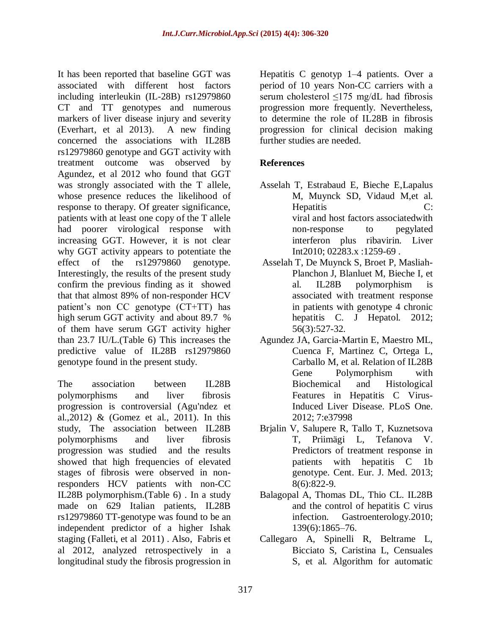It has been reported that baseline GGT was associated with different host factors including interleukin (IL-28B) rs12979860 CT and TT genotypes and numerous markers of liver disease injury and severity (Everhart, et al 2013). A new finding concerned the associations with IL28B rs12979860 genotype and GGT activity with treatment outcome was observed by Agundez, et al 2012 who found that GGT was strongly associated with the T allele, whose presence reduces the likelihood of response to therapy. Of greater significance, patients with at least one copy of the T allele had poorer virological response with increasing GGT. However, it is not clear why GGT activity appears to potentiate the effect of the rs12979860 genotype. Interestingly, the results of the present study confirm the previous finding as it showed that that almost 89% of non-responder HCV patient's non CC genotype (CT+TT) has high serum GGT activity and about 89.7 % of them have serum GGT activity higher than 23.7 IU/L.(Table 6) This increases the predictive value of IL28B rs12979860 genotype found in the present study.

The association between IL28B polymorphisms and liver fibrosis progression is controversial (Agu'ndez et al.,2012) & (Gomez et al., 2011). In this study, The association between IL28B polymorphisms and liver fibrosis progression was studied and the results showed that high frequencies of elevated stages of fibrosis were observed in nonresponders HCV patients with non-CC IL28B polymorphism.(Table 6) . In a study made on 629 Italian patients, IL28B rs12979860 TT-genotype was found to be an independent predictor of a higher Ishak staging (Falleti, et al 2011) . Also, Fabris et al 2012, analyzed retrospectively in a longitudinal study the fibrosis progression in

Hepatitis C genotyp 1–4 patients. Over a period of 10 years Non-CC carriers with a serum cholesterol ≤175 mg/dL had fibrosis progression more frequently. Nevertheless, to determine the role of IL28B in fibrosis progression for clinical decision making further studies are needed.

# **References**

- Asselah T, Estrabaud E, Bieche E[,Lapalus](http://www.researchgate.net/researcher/48006325_Martine_Lapalus) M, [Muynck](http://www.researchgate.net/researcher/50162381_Simon_De_Muynck) SD, [Vidaud](http://www.researchgate.net/researcher/38905680_Michel_Vidaud) M,et al. Hepatitis C: viral and host factors associatedwith non-response to pegylated interferon plus ribavirin. Liver Int2010; 02283.x :1259-69 .
- Asselah T, De Muynck S, Broet P, Masliah-Planchon J, Blanluet M, Bieche I, et al. IL28B polymorphism is associated with treatment response in patients with genotype 4 chronic hepatitis C. J Hepatol. 2012; 56(3):527-32.
- Agundez JA, Garcia-Martin E, Maestro ML, Cuenca F, Martinez C, Ortega L, Carballo M, et al. Relation of IL28B Gene Polymorphism with Biochemical and Histological Features in Hepatitis C Virus-Induced Liver Disease. PLoS One. 2012; 7:e37998
- Brjalin V, Salupere R, Tallo T, Kuznetsova T, Priimägi L, Tefanova V. Predictors of treatment response in patients with hepatitis C 1b genotype. Cent. Eur. J. Med. 2013; 8(6):822-9.
- Balagopal A, Thomas DL, Thio CL. IL28B and the control of hepatitis C virus infection. Gastroenterology.2010; 139(6):1865–76.
- Callegaro A, Spinelli R, Beltrame L, Bicciato S, Caristina L, Censuales S, et al. Algorithm for automatic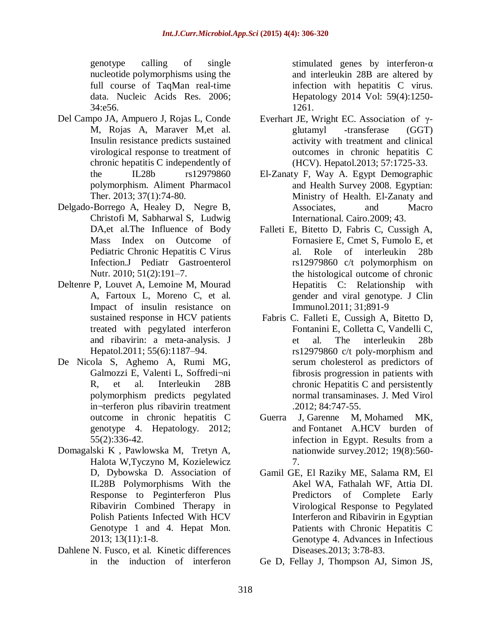genotype calling of single nucleotide polymorphisms using the full course of TaqMan real-time data. Nucleic Acids Res. 2006; 34:e56.

- Del Campo JA, Ampuero J, Rojas L, Conde M, Rojas A, Maraver M,et al. Insulin resistance predicts sustained virological response to treatment of chronic hepatitis C independently of the IL28b rs12979860 polymorphism. Aliment Pharmacol Ther. 2013; 37(1):74-80.
- Delgado-Borrego A, Healey D, Negre B, Christofi M, Sabharwal S, Ludwig DA,et al.The Influence of Body Mass Index on Outcome of Pediatric Chronic Hepatitis C Virus Infection.J Pediatr Gastroenterol Nutr. 2010; 51(2):191–7.
- Deltenre P, Louvet A, Lemoine M, Mourad A, Fartoux L, Moreno C, et al. Impact of insulin resistance on sustained response in HCV patients treated with pegylated interferon and ribavirin: a meta-analysis. J Hepatol.2011; 55(6):1187–94.
- De Nicola S, Aghemo A, Rumi MG, Galmozzi E, Valenti L, Soffredi¬ni R, et al. Interleukin 28B polymorphism predicts pegylated in¬terferon plus ribavirin treatment outcome in chronic hepatitis C genotype 4. Hepatology. 2012; 55(2):336-42.
- Domagalski K , Pawlowska M, Tretyn A, Halota W,Tyczyno M, Kozielewicz D, Dybowska D. Association of IL28B Polymorphisms With the Response to Peginterferon Plus Ribavirin Combined Therapy in Polish Patients Infected With HCV Genotype 1 and 4. Hepat Mon. 2013; 13(11):1-8.
- [Dahlene N. Fusco,](http://www.ncbi.nlm.nih.gov/pubmed?term=Dahlene%20N.%20Fusco) et al. Kinetic differences in the induction of interferon

stimulated genes by interferon- $\alpha$ and interleukin 28B are altered by infection with hepatitis C virus. Hepatology 2014 Vol: 59(4):1250- 1261.

- Everhart JE, Wright EC. Association of γglutamyl -transferase (GGT) activity with treatment and clinical outcomes in chronic hepatitis C (HCV). Hepatol.2013; 57:1725-33.
- El-Zanaty F, Way A. Egypt Demographic and Health Survey 2008. Egyptian: Ministry of Health. El-Zanaty and Associates, and Macro International. Cairo.2009; 43.
- Falleti E, Bitetto D, Fabris C, Cussigh A, Fornasiere E, Cmet S, Fumolo E, et al. Role of interleukin 28b rs12979860 c/t polymorphism on the histological outcome of chronic Hepatitis C: Relationship with gender and viral genotype. J Clin Immunol.2011; 31;891-9
- Fabris C. Falleti E, Cussigh A, Bitetto D, Fontanini E, Colletta C, Vandelli C, et al. The interleukin 28b rs12979860 c/t poly-morphism and serum cholesterol as predictors of fibrosis progression in patients with chronic Hepatitis C and persistently normal transaminases. J. Med Virol .2012; 84:747-55.
- [Guerra J,](http://www.ncbi.nlm.nih.gov/pubmed?term=Guerra%20J%5BAuthor%5D&cauthor=true&cauthor_uid=22762140) [Garenne M,](http://www.ncbi.nlm.nih.gov/pubmed?term=Garenne%20M%5BAuthor%5D&cauthor=true&cauthor_uid=22762140) [Mohamed MK,](http://www.ncbi.nlm.nih.gov/pubmed?term=Mohamed%20MK%5BAuthor%5D&cauthor=true&cauthor_uid=22762140) and [Fontanet A.](http://www.ncbi.nlm.nih.gov/pubmed?term=Fontanet%20A%5BAuthor%5D&cauthor=true&cauthor_uid=22762140)HCV burden of infection in Egypt. Results from a nationwide survey.2012; 19(8):560- 7.
- Gamil GE, El Raziky ME, Salama RM, El Akel WA, Fathalah WF, Attia DI. Predictors of Complete Early Virological Response to Pegylated Interferon and Ribavirin in Egyptian Patients with Chronic Hepatitis C Genotype 4. Advances in Infectious Diseases.2013; 3:78-83.
- Ge D, Fellay J, Thompson AJ, Simon JS,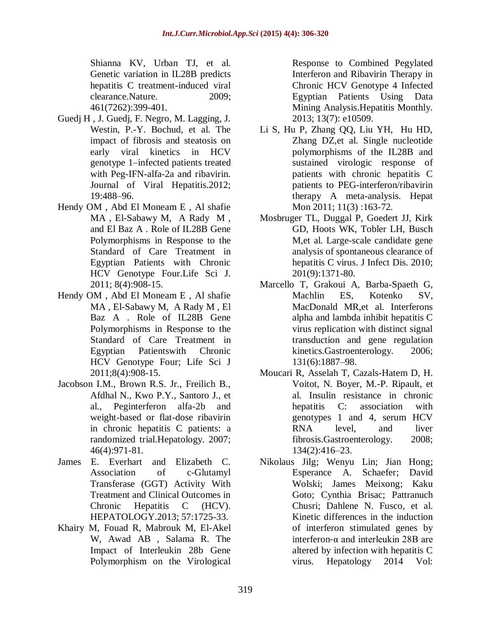Shianna KV, Urban TJ, et al. Genetic variation in IL28B predicts hepatitis C treatment-induced viral clearance.Nature. 2009; 461(7262):399-401.

- Guedj H , J. Guedj, F. Negro, M. Lagging, J. Westin, P.-Y. Bochud, et al. The impact of fibrosis and steatosis on early viral kinetics in HCV genotype 1–infected patients treated with Peg-IFN-alfa-2a and ribavirin. Journal of Viral Hepatitis.2012; 19:488–96.
- Hendy OM , Abd El Moneam E , Al shafie MA , El-Sabawy M, A Rady M , and El Baz A . Role of IL28B Gene Polymorphisms in Response to the Standard of Care Treatment in Egyptian Patients with Chronic HCV Genotype Four.Life Sci J. 2011; 8(4):908-15.
- Hendy OM , Abd El Moneam E , Al shafie MA , El-Sabawy M, A Rady M , El Baz A . Role of IL28B Gene Polymorphisms in Response to the Standard of Care Treatment in Egyptian Patientswith Chronic HCV Genotype Four; Life Sci J 2011;8(4):908-15.
- Jacobson I.M., Brown R.S. Jr., Freilich B., Afdhal N., Kwo P.Y., Santoro J., et al., Peginterferon alfa-2b and weight-based or flat-dose ribavirin in chronic hepatitis C patients: a randomized trial.Hepatology. 2007; 46(4):971-81.
- James E. Everhart and Elizabeth C. Association of c-Glutamyl Transferase (GGT) Activity With Treatment and Clinical Outcomes in Chronic Hepatitis C (HCV). HEPATOLOGY.2013; 57:1725-33.
- Khairy M, Fouad R, Mabrouk M, El-Akel W, Awad AB , Salama R. The Impact of Interleukin 28b Gene Polymorphism on the Virological

Response to Combined Pegylated Interferon and Ribavirin Therapy in Chronic HCV Genotype 4 Infected Egyptian Patients Using Data Mining Analysis.Hepatitis Monthly. 2013; 13(7): e10509.

- Li S, Hu P, Zhang QQ, Liu YH, Hu HD, Zhang DZ,et al. Single nucleotide polymorphisms of the IL28B and sustained virologic response of patients with chronic hepatitis C patients to PEG-interferon/ribavirin therapy A meta-analysis. Hepat Mon 2011; 11(3):163-72.
- Mosbruger TL, Duggal P, Goedert JJ, Kirk GD, Hoots WK, Tobler LH, Busch M,et al. Large-scale candidate gene analysis of spontaneous clearance of hepatitis C virus. J Infect Dis. 2010; 201(9):1371-80.
- Marcello T, Grakoui A, Barba-Spaeth G, Machlin ES, Kotenko SV, MacDonald MR,et al. Interferons alpha and lambda inhibit hepatitis C virus replication with distinct signal transduction and gene regulation kinetics.Gastroenterology. 2006; 131(6):1887–98.
- Moucari R, Asselah T, Cazals-Hatem D, H. Voitot, N. Boyer, M.-P. Ripault, et al. Insulin resistance in chronic hepatitis C: association with genotypes 1 and 4, serum HCV RNA level, and liver fibrosis.Gastroenterology. 2008; 134(2):416–23.
- [Nikolaus Jilg;](http://www.ncbi.nlm.nih.gov/pubmed?term=Nikolaus%20Jilg) [Wenyu Lin;](http://www.ncbi.nlm.nih.gov/pubmed?term=Wenyu%20Lin) [Jian Hong;](http://www.ncbi.nlm.nih.gov/pubmed?term=Jian%20Hong) [Esperance A. Schaefer;](http://www.ncbi.nlm.nih.gov/pubmed?term=Esperance%20A.%20Schaefer) [David](http://www.ncbi.nlm.nih.gov/pubmed?term=David%20Wolski)  [Wolski;](http://www.ncbi.nlm.nih.gov/pubmed?term=David%20Wolski) [James Meixong;](http://www.ncbi.nlm.nih.gov/pubmed?term=James%20Meixong) [Kaku](http://www.ncbi.nlm.nih.gov/pubmed?term=Kaku%20Goto)  [Goto;](http://www.ncbi.nlm.nih.gov/pubmed?term=Kaku%20Goto) [Cynthia Brisac;](http://www.ncbi.nlm.nih.gov/pubmed?term=Cynthia%20Brisac) [Pattranuch](http://www.ncbi.nlm.nih.gov/pubmed?term=Pattranuch%20Chusri)  [Chusri;](http://www.ncbi.nlm.nih.gov/pubmed?term=Pattranuch%20Chusri) [Dahlene N. Fusco,](http://www.ncbi.nlm.nih.gov/pubmed?term=Dahlene%20N.%20Fusco) et al. Kinetic differences in the induction of interferon stimulated genes by interferon-α and interleukin 28B are altered by infection with hepatitis C virus. Hepatology 2014 Vol: